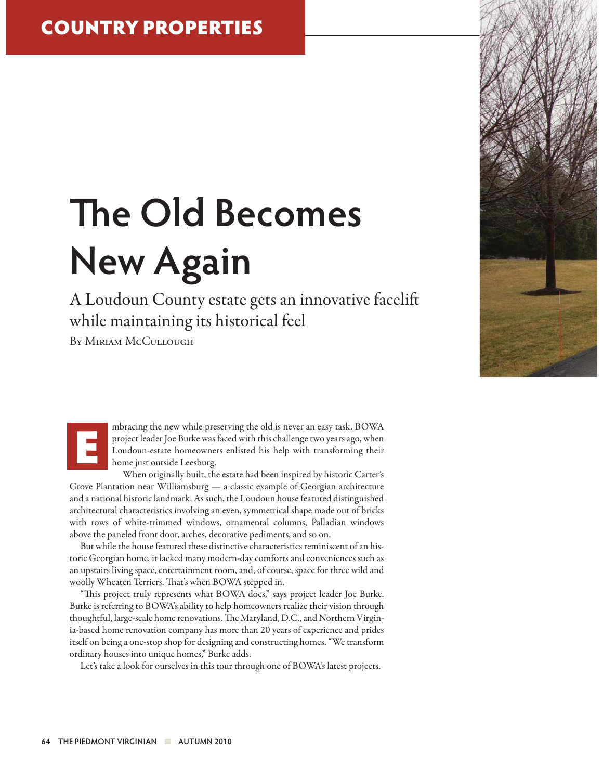## **The Old Becomes New Again**

A Loudoun County estate gets an innovative facelift while maintaining its historical feel

BY MIRIAM MCCULLOUGH

mbracing the new while preserving the old is never an easy task. BOWA project leader Joe Burke was faced with this challenge two years ago, when Loudoun-estate homeowners enlisted his help with transforming their home just outside Leesburg.

When originally built, the estate had been inspired by historic Carter's Grove Plantation near Williamsburg — a classic example of Georgian architecture and a national historic landmark. As such, the Loudoun house featured distinguished architectural characteristics involving an even, symmetrical shape made out of bricks with rows of white-trimmed windows, ornamental columns, Palladian windows above the paneled front door, arches, decorative pediments, and so on.

But while the house featured these distinctive characteristics reminiscent of an historic Georgian home, it lacked many modern-day comforts and conveniences such as an upstairs living space, entertainment room, and, of course, space for three wild and woolly Wheaten Terriers. That's when BOWA stepped in.

"This project truly represents what BOWA does," says project leader Joe Burke. Burke is referring to BOWA's ability to help homeowners realize their vision through thoughtful, large-scale home renovations. The Maryland, D.C., and Northern Virginia-based home renovation company has more than 20 years of experience and prides itself on being a one-stop shop for designing and constructing homes. "We transform ordinary houses into unique homes," Burke adds.

Let's take a look for ourselves in this tour through one of BOWA's latest projects.

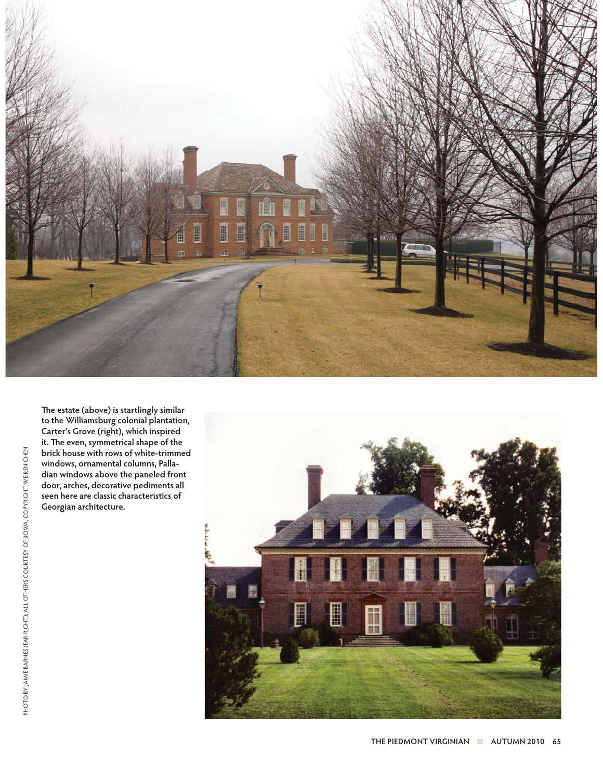

**The estate (above) is startlingly similar to the Williamsburg colonial plantation, Carter's Grove (right), which inspired it. The even, symmetrical shape of the brick house with rows of white-trimmed windows, ornamental columns, Palladian windows above the paneled front door, arches, decorative pediments all seen here are classic characteristics of Georgian architecture.** 

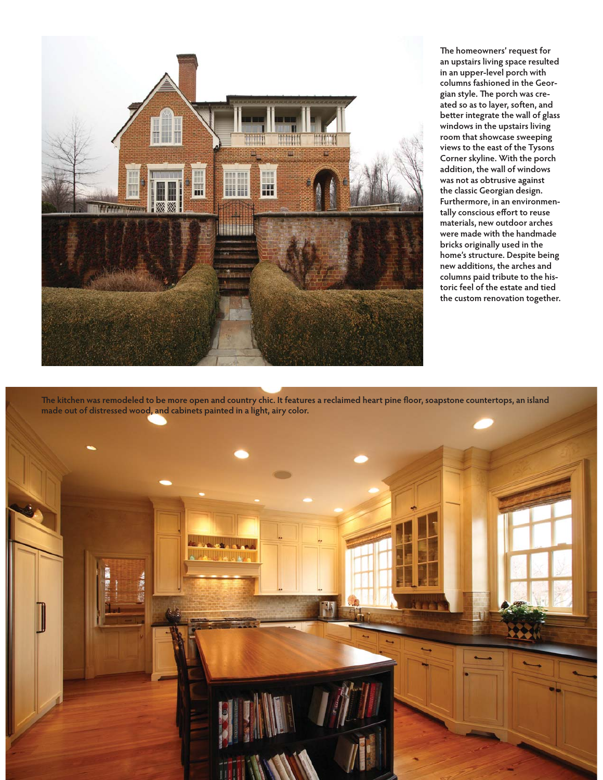

**The homeowners' request for an upstairs living space resulted in an upper-level porch with columns fashioned in the Georgian style. The porch was created so as to layer, soften, and better integrate the wall of glass windows in the upstairs living room that showcase sweeping views to the east of the Tysons Corner skyline. With the porch addition, the wall of windows was not as obtrusive against the classic Georgian design. Furthermore, in an environmentally conscious effort to reuse materials, new outdoor arches were made with the handmade bricks originally used in the home's structure. Despite being new additions, the arches and columns paid tribute to the historic feel of the estate and tied the custom renovation together.** 

**The kitchen was remodeled to be more open and country chic. It features a reclaimed heart pine floor, soapstone countertops, an island made out of distressed wood, and cabinets painted in a light, airy color.**